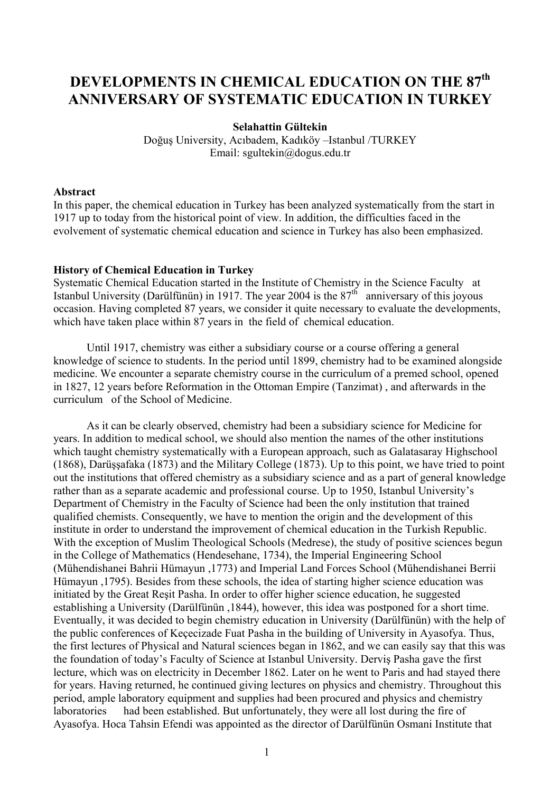# **DEVELOPMENTS IN CHEMICAL EDUCATION ON THE 87th ANNIVERSARY OF SYSTEMATIC EDUCATION IN TURKEY**

## **Selahattin Gültekin**

Doğuş University, Acıbadem, Kadıköy –Istanbul /TURKEY Email: sgultekin@dogus.edu.tr

#### **Abstract**

In this paper, the chemical education in Turkey has been analyzed systematically from the start in 1917 up to today from the historical point of view. In addition, the difficulties faced in the evolvement of systematic chemical education and science in Turkey has also been emphasized.

## **History of Chemical Education in Turkey**

Systematic Chemical Education started in the Institute of Chemistry in the Science Faculty at Istanbul University (Darülfünün) in 1917. The year 2004 is the  $87<sup>th</sup>$  anniversary of this joyous occasion. Having completed 87 years, we consider it quite necessary to evaluate the developments, which have taken place within 87 years in the field of chemical education.

 Until 1917, chemistry was either a subsidiary course or a course offering a general knowledge of science to students. In the period until 1899, chemistry had to be examined alongside medicine. We encounter a separate chemistry course in the curriculum of a premed school, opened in 1827, 12 years before Reformation in the Ottoman Empire (Tanzimat) , and afterwards in the curriculum of the School of Medicine.

 As it can be clearly observed, chemistry had been a subsidiary science for Medicine for years. In addition to medical school, we should also mention the names of the other institutions which taught chemistry systematically with a European approach, such as Galatasaray Highschool (1868), Darüşşafaka (1873) and the Military College (1873). Up to this point, we have tried to point out the institutions that offered chemistry as a subsidiary science and as a part of general knowledge rather than as a separate academic and professional course. Up to 1950, Istanbul University's Department of Chemistry in the Faculty of Science had been the only institution that trained qualified chemists. Consequently, we have to mention the origin and the development of this institute in order to understand the improvement of chemical education in the Turkish Republic. With the exception of Muslim Theological Schools (Medrese), the study of positive sciences begun in the College of Mathematics (Hendesehane, 1734), the Imperial Engineering School (Mühendishanei Bahrii Hümayun ,1773) and Imperial Land Forces School (Mühendishanei Berrii Hümayun ,1795). Besides from these schools, the idea of starting higher science education was initiated by the Great Reşit Pasha. In order to offer higher science education, he suggested establishing a University (Darülfünün ,1844), however, this idea was postponed for a short time. Eventually, it was decided to begin chemistry education in University (Darülfünün) with the help of the public conferences of Keçecizade Fuat Pasha in the building of University in Ayasofya. Thus, the first lectures of Physical and Natural sciences began in 1862, and we can easily say that this was the foundation of today's Faculty of Science at Istanbul University. Derviş Pasha gave the first lecture, which was on electricity in December 1862. Later on he went to Paris and had stayed there for years. Having returned, he continued giving lectures on physics and chemistry. Throughout this period, ample laboratory equipment and supplies had been procured and physics and chemistry laboratories had been established. But unfortunately, they were all lost during the fire of Ayasofya. Hoca Tahsin Efendi was appointed as the director of Darülfünün Osmani Institute that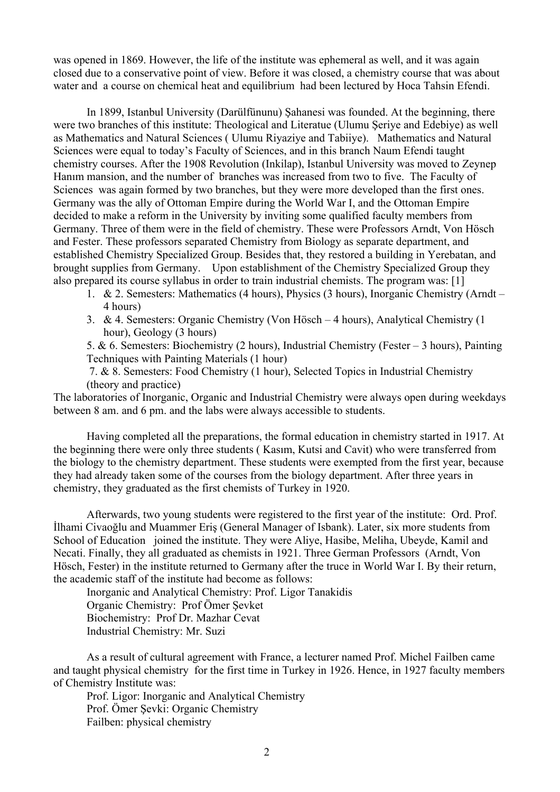was opened in 1869. However, the life of the institute was ephemeral as well, and it was again closed due to a conservative point of view. Before it was closed, a chemistry course that was about water and a course on chemical heat and equilibrium had been lectured by Hoca Tahsin Efendi.

 In 1899, Istanbul University (Darülfünunu) Şahanesi was founded. At the beginning, there were two branches of this institute: Theological and Literatue (Ulumu Şeriye and Edebiye) as well as Mathematics and Natural Sciences ( Ulumu Riyaziye and Tabiiye). Mathematics and Natural Sciences were equal to today's Faculty of Sciences, and in this branch Naum Efendi taught chemistry courses. After the 1908 Revolution (Inkilap), Istanbul University was moved to Zeynep Hanım mansion, and the number of branches was increased from two to five. The Faculty of Sciences was again formed by two branches, but they were more developed than the first ones. Germany was the ally of Ottoman Empire during the World War I, and the Ottoman Empire decided to make a reform in the University by inviting some qualified faculty members from Germany. Three of them were in the field of chemistry. These were Professors Arndt, Von Hösch and Fester. These professors separated Chemistry from Biology as separate department, and established Chemistry Specialized Group. Besides that, they restored a building in Yerebatan, and brought supplies from Germany. Upon establishment of the Chemistry Specialized Group they also prepared its course syllabus in order to train industrial chemists. The program was: [1]

- 1. & 2. Semesters: Mathematics (4 hours), Physics (3 hours), Inorganic Chemistry (Arndt 4 hours)
- 3. & 4. Semesters: Organic Chemistry (Von Hösch 4 hours), Analytical Chemistry (1 hour), Geology (3 hours)

5. & 6. Semesters: Biochemistry (2 hours), Industrial Chemistry (Fester – 3 hours), Painting Techniques with Painting Materials (1 hour)

 7. & 8. Semesters: Food Chemistry (1 hour), Selected Topics in Industrial Chemistry (theory and practice)

The laboratories of Inorganic, Organic and Industrial Chemistry were always open during weekdays between 8 am. and 6 pm. and the labs were always accessible to students.

 Having completed all the preparations, the formal education in chemistry started in 1917. At the beginning there were only three students ( Kasım, Kutsi and Cavit) who were transferred from the biology to the chemistry department. These students were exempted from the first year, because they had already taken some of the courses from the biology department. After three years in chemistry, they graduated as the first chemists of Turkey in 1920.

 Afterwards, two young students were registered to the first year of the institute: Ord. Prof. İlhami Civaoğlu and Muammer Eriş (General Manager of Isbank). Later, six more students from School of Education joined the institute. They were Aliye, Hasibe, Meliha, Ubeyde, Kamil and Necati. Finally, they all graduated as chemists in 1921. Three German Professors (Arndt, Von Hösch, Fester) in the institute returned to Germany after the truce in World War I. By their return, the academic staff of the institute had become as follows:

 Inorganic and Analytical Chemistry: Prof. Ligor Tanakidis Organic Chemistry: Prof Ömer Şevket Biochemistry: Prof Dr. Mazhar Cevat Industrial Chemistry: Mr. Suzi

As a result of cultural agreement with France, a lecturer named Prof. Michel Failben came and taught physical chemistry for the first time in Turkey in 1926. Hence, in 1927 faculty members of Chemistry Institute was:

 Prof. Ligor: Inorganic and Analytical Chemistry Prof. Ömer Şevki: Organic Chemistry Failben: physical chemistry